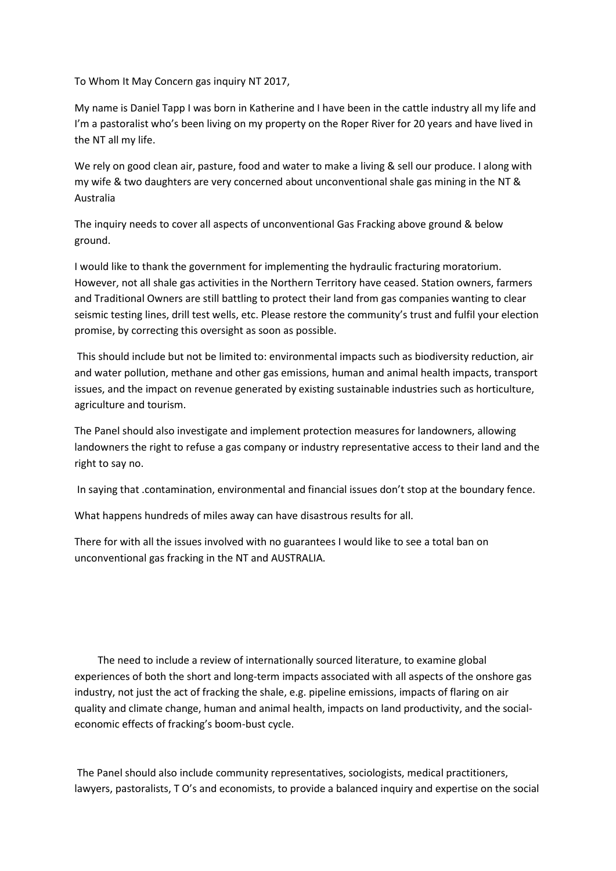To Whom It May Concern gas inquiry NT 2017,

My name is Daniel Tapp I was born in Katherine and I have been in the cattle industry all my life and I'm a pastoralist who's been living on my property on the Roper River for 20 years and have lived in the NT all my life.

We rely on good clean air, pasture, food and water to make a living & sell our produce. I along with my wife & two daughters are very concerned about unconventional shale gas mining in the NT & Australia

The inquiry needs to cover all aspects of unconventional Gas Fracking above ground & below ground.

I would like to thank the government for implementing the hydraulic fracturing moratorium. However, not all shale gas activities in the Northern Territory have ceased. Station owners, farmers and Traditional Owners are still battling to protect their land from gas companies wanting to clear seismic testing lines, drill test wells, etc. Please restore the community's trust and fulfil your election promise, by correcting this oversight as soon as possible.

This should include but not be limited to: environmental impacts such as biodiversity reduction, air and water pollution, methane and other gas emissions, human and animal health impacts, transport issues, and the impact on revenue generated by existing sustainable industries such as horticulture, agriculture and tourism.

The Panel should also investigate and implement protection measures for landowners, allowing landowners the right to refuse a gas company or industry representative access to their land and the right to say no.

In saying that .contamination, environmental and financial issues don't stop at the boundary fence.

What happens hundreds of miles away can have disastrous results for all.

There for with all the issues involved with no guarantees I would like to see a total ban on unconventional gas fracking in the NT and AUSTRALIA.

 The need to include a review of internationally sourced literature, to examine global experiences of both the short and long-term impacts associated with all aspects of the onshore gas industry, not just the act of fracking the shale, e.g. pipeline emissions, impacts of flaring on air quality and climate change, human and animal health, impacts on land productivity, and the socialeconomic effects of fracking's boom-bust cycle.

The Panel should also include community representatives, sociologists, medical practitioners, lawyers, pastoralists, T O's and economists, to provide a balanced inquiry and expertise on the social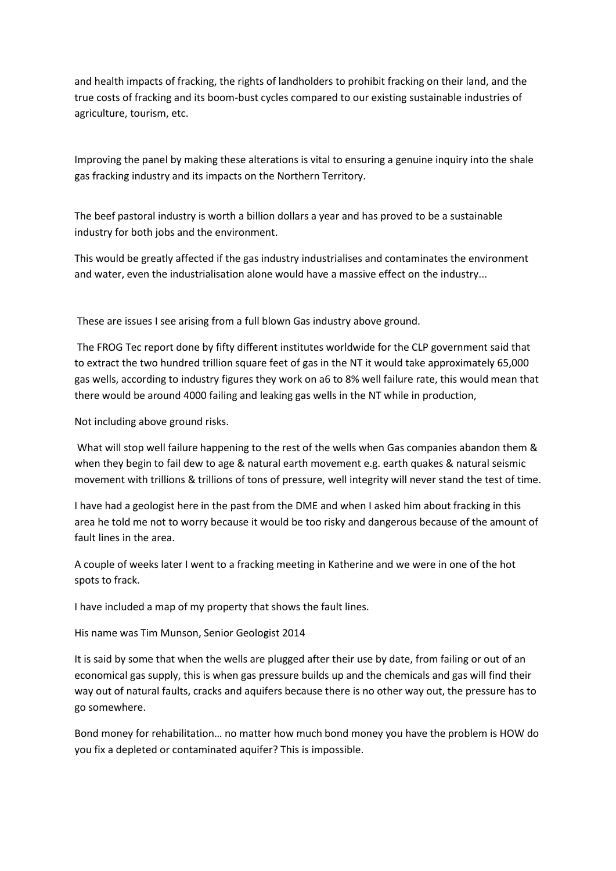and health impacts of fracking, the rights of landholders to prohibit fracking on their land, and the true costs of fracking and its boom-bust cycles compared to our existing sustainable industries of agriculture, tourism, etc.

Improving the panel by making these alterations is vital to ensuring a genuine inquiry into the shale gas fracking industry and its impacts on the Northern Territory.

The beef pastoral industry is worth a billion dollars a year and has proved to be a sustainable industry for both jobs and the environment.

This would be greatly affected if the gas industry industrialises and contaminates the environment and water, even the industrialisation alone would have a massive effect on the industry...

These are issues I see arising from a full blown Gas industry above ground.

The FROG Tec report done by fifty different institutes worldwide for the CLP government said that to extract the two hundred trillion square feet of gas in the NT it would take approximately 65,000 gas wells, according to industry figures they work on a6 to 8% well failure rate, this would mean that there would be around 4000 failing and leaking gas wells in the NT while in production,

Not including above ground risks.

What will stop well failure happening to the rest of the wells when Gas companies abandon them & when they begin to fail dew to age & natural earth movement e.g. earth quakes & natural seismic movement with trillions & trillions of tons of pressure, well integrity will never stand the test of time.

I have had a geologist here in the past from the DME and when I asked him about fracking in this area he told me not to worry because it would be too risky and dangerous because of the amount of fault lines in the area.

A couple of weeks later I went to a fracking meeting in Katherine and we were in one of the hot spots to frack.

I have included a map of my property that shows the fault lines.

His name was Tim Munson, Senior Geologist 2014

It is said by some that when the wells are plugged after their use by date, from failing or out of an economical gas supply, this is when gas pressure builds up and the chemicals and gas will find their way out of natural faults, cracks and aquifers because there is no other way out, the pressure has to go somewhere.

Bond money for rehabilitation… no matter how much bond money you have the problem is HOW do you fix a depleted or contaminated aquifer? This is impossible.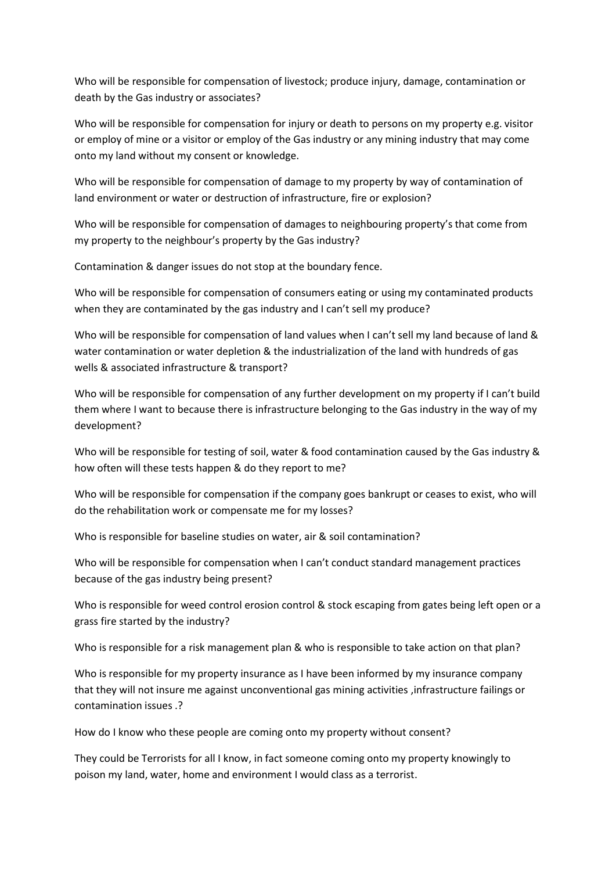Who will be responsible for compensation of livestock; produce injury, damage, contamination or death by the Gas industry or associates?

Who will be responsible for compensation for injury or death to persons on my property e.g. visitor or employ of mine or a visitor or employ of the Gas industry or any mining industry that may come onto my land without my consent or knowledge.

Who will be responsible for compensation of damage to my property by way of contamination of land environment or water or destruction of infrastructure, fire or explosion?

Who will be responsible for compensation of damages to neighbouring property's that come from my property to the neighbour's property by the Gas industry?

Contamination & danger issues do not stop at the boundary fence.

Who will be responsible for compensation of consumers eating or using my contaminated products when they are contaminated by the gas industry and I can't sell my produce?

Who will be responsible for compensation of land values when I can't sell my land because of land & water contamination or water depletion & the industrialization of the land with hundreds of gas wells & associated infrastructure & transport?

Who will be responsible for compensation of any further development on my property if I can't build them where I want to because there is infrastructure belonging to the Gas industry in the way of my development?

Who will be responsible for testing of soil, water & food contamination caused by the Gas industry & how often will these tests happen & do they report to me?

Who will be responsible for compensation if the company goes bankrupt or ceases to exist, who will do the rehabilitation work or compensate me for my losses?

Who is responsible for baseline studies on water, air & soil contamination?

Who will be responsible for compensation when I can't conduct standard management practices because of the gas industry being present?

Who is responsible for weed control erosion control & stock escaping from gates being left open or a grass fire started by the industry?

Who is responsible for a risk management plan & who is responsible to take action on that plan?

Who is responsible for my property insurance as I have been informed by my insurance company that they will not insure me against unconventional gas mining activities ,infrastructure failings or contamination issues .?

How do I know who these people are coming onto my property without consent?

They could be Terrorists for all I know, in fact someone coming onto my property knowingly to poison my land, water, home and environment I would class as a terrorist.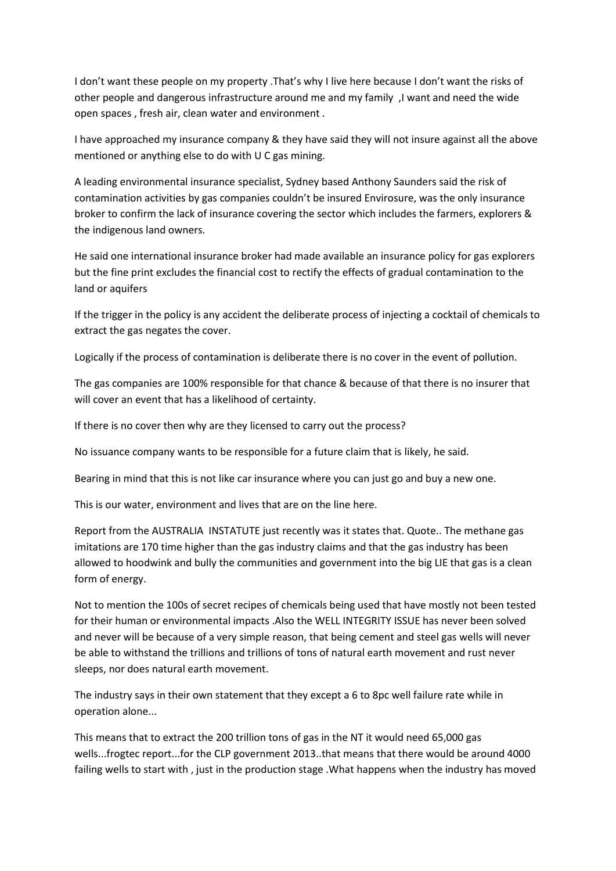I don't want these people on my property .That's why I live here because I don't want the risks of other people and dangerous infrastructure around me and my family ,I want and need the wide open spaces , fresh air, clean water and environment .

I have approached my insurance company & they have said they will not insure against all the above mentioned or anything else to do with U C gas mining.

A leading environmental insurance specialist, Sydney based Anthony Saunders said the risk of contamination activities by gas companies couldn't be insured Envirosure, was the only insurance broker to confirm the lack of insurance covering the sector which includes the farmers, explorers & the indigenous land owners.

He said one international insurance broker had made available an insurance policy for gas explorers but the fine print excludes the financial cost to rectify the effects of gradual contamination to the land or aquifers

If the trigger in the policy is any accident the deliberate process of injecting a cocktail of chemicals to extract the gas negates the cover.

Logically if the process of contamination is deliberate there is no cover in the event of pollution.

The gas companies are 100% responsible for that chance & because of that there is no insurer that will cover an event that has a likelihood of certainty.

If there is no cover then why are they licensed to carry out the process?

No issuance company wants to be responsible for a future claim that is likely, he said.

Bearing in mind that this is not like car insurance where you can just go and buy a new one.

This is our water, environment and lives that are on the line here.

Report from the AUSTRALIA INSTATUTE just recently was it states that. Quote.. The methane gas imitations are 170 time higher than the gas industry claims and that the gas industry has been allowed to hoodwink and bully the communities and government into the big LIE that gas is a clean form of energy.

Not to mention the 100s of secret recipes of chemicals being used that have mostly not been tested for their human or environmental impacts .Also the WELL INTEGRITY ISSUE has never been solved and never will be because of a very simple reason, that being cement and steel gas wells will never be able to withstand the trillions and trillions of tons of natural earth movement and rust never sleeps, nor does natural earth movement.

The industry says in their own statement that they except a 6 to 8pc well failure rate while in operation alone...

This means that to extract the 200 trillion tons of gas in the NT it would need 65,000 gas wells...frogtec report...for the CLP government 2013..that means that there would be around 4000 failing wells to start with , just in the production stage .What happens when the industry has moved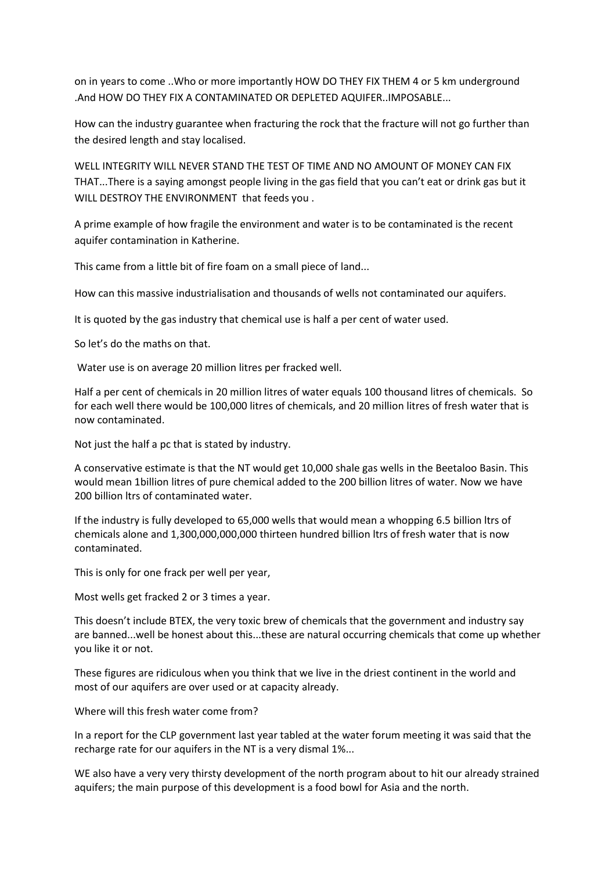on in years to come ..Who or more importantly HOW DO THEY FIX THEM 4 or 5 km underground .And HOW DO THEY FIX A CONTAMINATED OR DEPLETED AQUIFER..IMPOSABLE...

How can the industry guarantee when fracturing the rock that the fracture will not go further than the desired length and stay localised.

WELL INTEGRITY WILL NEVER STAND THE TEST OF TIME AND NO AMOUNT OF MONEY CAN FIX THAT...There is a saying amongst people living in the gas field that you can't eat or drink gas but it WILL DESTROY THE ENVIRONMENT that feeds you .

A prime example of how fragile the environment and water is to be contaminated is the recent aquifer contamination in Katherine.

This came from a little bit of fire foam on a small piece of land...

How can this massive industrialisation and thousands of wells not contaminated our aquifers.

It is quoted by the gas industry that chemical use is half a per cent of water used.

So let's do the maths on that.

Water use is on average 20 million litres per fracked well.

Half a per cent of chemicals in 20 million litres of water equals 100 thousand litres of chemicals. So for each well there would be 100,000 litres of chemicals, and 20 million litres of fresh water that is now contaminated.

Not just the half a pc that is stated by industry.

A conservative estimate is that the NT would get 10,000 shale gas wells in the Beetaloo Basin. This would mean 1billion litres of pure chemical added to the 200 billion litres of water. Now we have 200 billion ltrs of contaminated water.

If the industry is fully developed to 65,000 wells that would mean a whopping 6.5 billion ltrs of chemicals alone and 1,300,000,000,000 thirteen hundred billion ltrs of fresh water that is now contaminated.

This is only for one frack per well per year,

Most wells get fracked 2 or 3 times a year.

This doesn't include BTEX, the very toxic brew of chemicals that the government and industry say are banned...well be honest about this...these are natural occurring chemicals that come up whether you like it or not.

These figures are ridiculous when you think that we live in the driest continent in the world and most of our aquifers are over used or at capacity already.

Where will this fresh water come from?

In a report for the CLP government last year tabled at the water forum meeting it was said that the recharge rate for our aquifers in the NT is a very dismal 1%...

WE also have a very very thirsty development of the north program about to hit our already strained aquifers; the main purpose of this development is a food bowl for Asia and the north.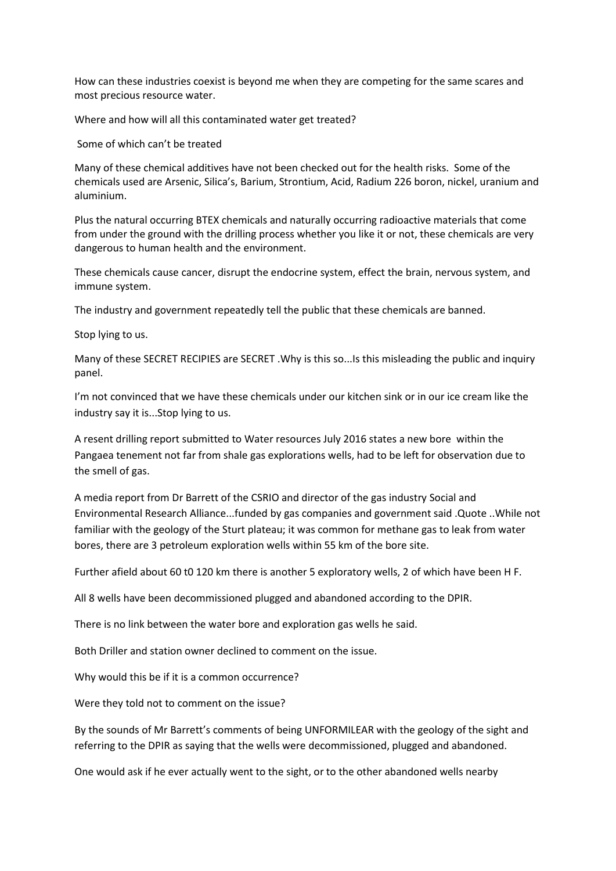How can these industries coexist is beyond me when they are competing for the same scares and most precious resource water.

Where and how will all this contaminated water get treated?

Some of which can't be treated

Many of these chemical additives have not been checked out for the health risks. Some of the chemicals used are Arsenic, Silica's, Barium, Strontium, Acid, Radium 226 boron, nickel, uranium and aluminium.

Plus the natural occurring BTEX chemicals and naturally occurring radioactive materials that come from under the ground with the drilling process whether you like it or not, these chemicals are very dangerous to human health and the environment.

These chemicals cause cancer, disrupt the endocrine system, effect the brain, nervous system, and immune system.

The industry and government repeatedly tell the public that these chemicals are banned.

Stop lying to us.

Many of these SECRET RECIPIES are SECRET .Why is this so...Is this misleading the public and inquiry panel.

I'm not convinced that we have these chemicals under our kitchen sink or in our ice cream like the industry say it is...Stop lying to us.

A resent drilling report submitted to Water resources July 2016 states a new bore within the Pangaea tenement not far from shale gas explorations wells, had to be left for observation due to the smell of gas.

A media report from Dr Barrett of the CSRIO and director of the gas industry Social and Environmental Research Alliance...funded by gas companies and government said .Quote ..While not familiar with the geology of the Sturt plateau; it was common for methane gas to leak from water bores, there are 3 petroleum exploration wells within 55 km of the bore site.

Further afield about 60 t0 120 km there is another 5 exploratory wells, 2 of which have been H F.

All 8 wells have been decommissioned plugged and abandoned according to the DPIR.

There is no link between the water bore and exploration gas wells he said.

Both Driller and station owner declined to comment on the issue.

Why would this be if it is a common occurrence?

Were they told not to comment on the issue?

By the sounds of Mr Barrett's comments of being UNFORMILEAR with the geology of the sight and referring to the DPIR as saying that the wells were decommissioned, plugged and abandoned.

One would ask if he ever actually went to the sight, or to the other abandoned wells nearby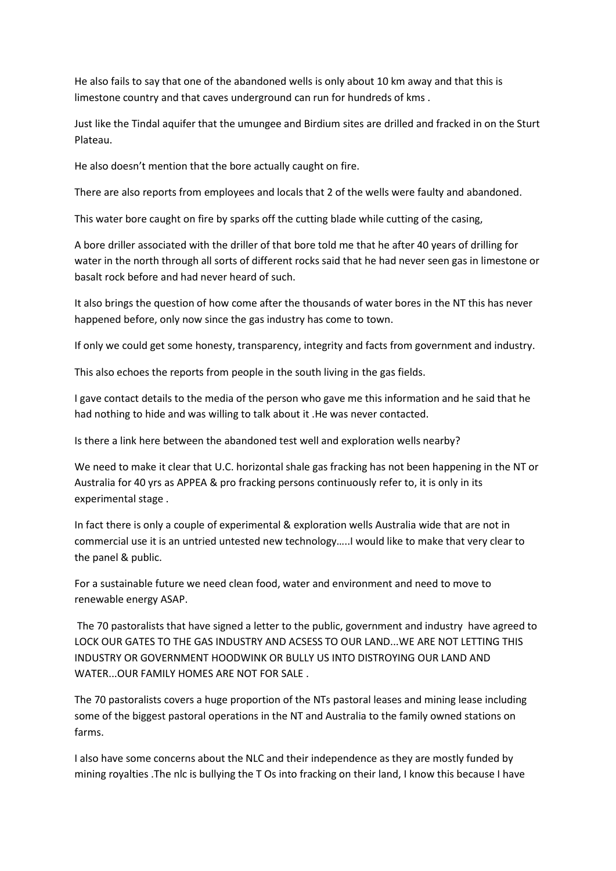He also fails to say that one of the abandoned wells is only about 10 km away and that this is limestone country and that caves underground can run for hundreds of kms .

Just like the Tindal aquifer that the umungee and Birdium sites are drilled and fracked in on the Sturt Plateau.

He also doesn't mention that the bore actually caught on fire.

There are also reports from employees and locals that 2 of the wells were faulty and abandoned.

This water bore caught on fire by sparks off the cutting blade while cutting of the casing,

A bore driller associated with the driller of that bore told me that he after 40 years of drilling for water in the north through all sorts of different rocks said that he had never seen gas in limestone or basalt rock before and had never heard of such.

It also brings the question of how come after the thousands of water bores in the NT this has never happened before, only now since the gas industry has come to town.

If only we could get some honesty, transparency, integrity and facts from government and industry.

This also echoes the reports from people in the south living in the gas fields.

I gave contact details to the media of the person who gave me this information and he said that he had nothing to hide and was willing to talk about it .He was never contacted.

Is there a link here between the abandoned test well and exploration wells nearby?

We need to make it clear that U.C. horizontal shale gas fracking has not been happening in the NT or Australia for 40 yrs as APPEA & pro fracking persons continuously refer to, it is only in its experimental stage .

In fact there is only a couple of experimental & exploration wells Australia wide that are not in commercial use it is an untried untested new technology…..I would like to make that very clear to the panel & public.

For a sustainable future we need clean food, water and environment and need to move to renewable energy ASAP.

The 70 pastoralists that have signed a letter to the public, government and industry have agreed to LOCK OUR GATES TO THE GAS INDUSTRY AND ACSESS TO OUR LAND...WE ARE NOT LETTING THIS INDUSTRY OR GOVERNMENT HOODWINK OR BULLY US INTO DISTROYING OUR LAND AND WATER...OUR FAMILY HOMES ARE NOT FOR SALE .

The 70 pastoralists covers a huge proportion of the NTs pastoral leases and mining lease including some of the biggest pastoral operations in the NT and Australia to the family owned stations on farms.

I also have some concerns about the NLC and their independence as they are mostly funded by mining royalties .The nlc is bullying the T Os into fracking on their land, I know this because I have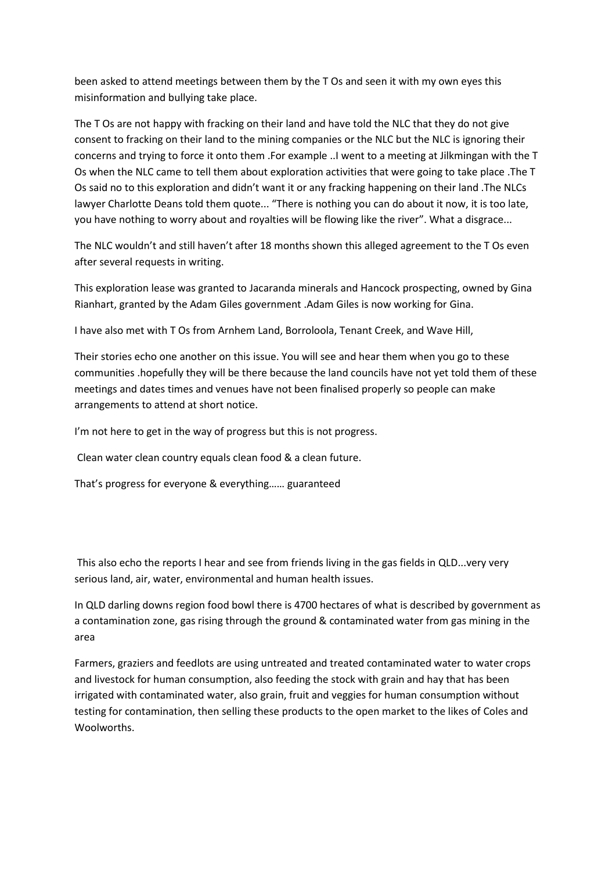been asked to attend meetings between them by the T Os and seen it with my own eyes this misinformation and bullying take place.

The T Os are not happy with fracking on their land and have told the NLC that they do not give consent to fracking on their land to the mining companies or the NLC but the NLC is ignoring their concerns and trying to force it onto them .For example ..I went to a meeting at Jilkmingan with the T Os when the NLC came to tell them about exploration activities that were going to take place .The T Os said no to this exploration and didn't want it or any fracking happening on their land .The NLCs lawyer Charlotte Deans told them quote... "There is nothing you can do about it now, it is too late, you have nothing to worry about and royalties will be flowing like the river". What a disgrace...

The NLC wouldn't and still haven't after 18 months shown this alleged agreement to the T Os even after several requests in writing.

This exploration lease was granted to Jacaranda minerals and Hancock prospecting, owned by Gina Rianhart, granted by the Adam Giles government .Adam Giles is now working for Gina.

I have also met with T Os from Arnhem Land, Borroloola, Tenant Creek, and Wave Hill,

Their stories echo one another on this issue. You will see and hear them when you go to these communities .hopefully they will be there because the land councils have not yet told them of these meetings and dates times and venues have not been finalised properly so people can make arrangements to attend at short notice.

I'm not here to get in the way of progress but this is not progress.

Clean water clean country equals clean food & a clean future.

That's progress for everyone & everything…… guaranteed

This also echo the reports I hear and see from friends living in the gas fields in QLD...very very serious land, air, water, environmental and human health issues.

In QLD darling downs region food bowl there is 4700 hectares of what is described by government as a contamination zone, gas rising through the ground & contaminated water from gas mining in the area

Farmers, graziers and feedlots are using untreated and treated contaminated water to water crops and livestock for human consumption, also feeding the stock with grain and hay that has been irrigated with contaminated water, also grain, fruit and veggies for human consumption without testing for contamination, then selling these products to the open market to the likes of Coles and Woolworths.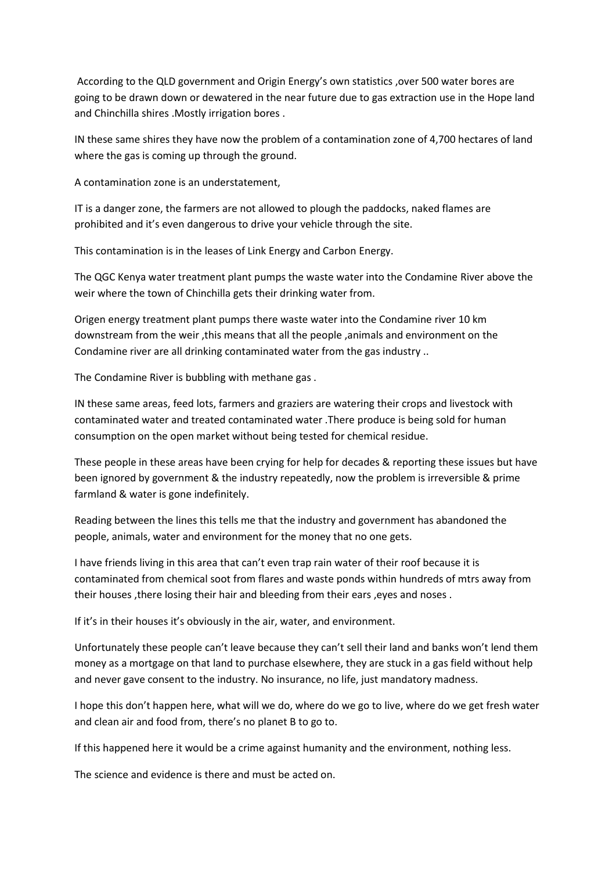According to the QLD government and Origin Energy's own statistics ,over 500 water bores are going to be drawn down or dewatered in the near future due to gas extraction use in the Hope land and Chinchilla shires .Mostly irrigation bores .

IN these same shires they have now the problem of a contamination zone of 4,700 hectares of land where the gas is coming up through the ground.

A contamination zone is an understatement,

IT is a danger zone, the farmers are not allowed to plough the paddocks, naked flames are prohibited and it's even dangerous to drive your vehicle through the site.

This contamination is in the leases of Link Energy and Carbon Energy.

The QGC Kenya water treatment plant pumps the waste water into the Condamine River above the weir where the town of Chinchilla gets their drinking water from.

Origen energy treatment plant pumps there waste water into the Condamine river 10 km downstream from the weir ,this means that all the people ,animals and environment on the Condamine river are all drinking contaminated water from the gas industry ..

The Condamine River is bubbling with methane gas .

IN these same areas, feed lots, farmers and graziers are watering their crops and livestock with contaminated water and treated contaminated water .There produce is being sold for human consumption on the open market without being tested for chemical residue.

These people in these areas have been crying for help for decades & reporting these issues but have been ignored by government & the industry repeatedly, now the problem is irreversible & prime farmland & water is gone indefinitely.

Reading between the lines this tells me that the industry and government has abandoned the people, animals, water and environment for the money that no one gets.

I have friends living in this area that can't even trap rain water of their roof because it is contaminated from chemical soot from flares and waste ponds within hundreds of mtrs away from their houses ,there losing their hair and bleeding from their ears ,eyes and noses .

If it's in their houses it's obviously in the air, water, and environment.

Unfortunately these people can't leave because they can't sell their land and banks won't lend them money as a mortgage on that land to purchase elsewhere, they are stuck in a gas field without help and never gave consent to the industry. No insurance, no life, just mandatory madness.

I hope this don't happen here, what will we do, where do we go to live, where do we get fresh water and clean air and food from, there's no planet B to go to.

If this happened here it would be a crime against humanity and the environment, nothing less.

The science and evidence is there and must be acted on.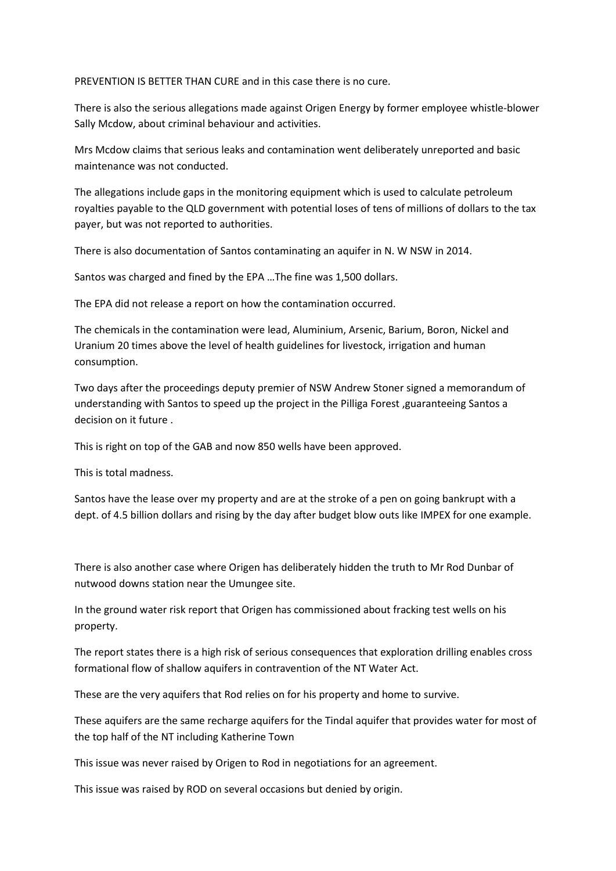PREVENTION IS BETTER THAN CURE and in this case there is no cure.

There is also the serious allegations made against Origen Energy by former employee whistle-blower Sally Mcdow, about criminal behaviour and activities.

Mrs Mcdow claims that serious leaks and contamination went deliberately unreported and basic maintenance was not conducted.

The allegations include gaps in the monitoring equipment which is used to calculate petroleum royalties payable to the QLD government with potential loses of tens of millions of dollars to the tax payer, but was not reported to authorities.

There is also documentation of Santos contaminating an aquifer in N. W NSW in 2014.

Santos was charged and fined by the EPA …The fine was 1,500 dollars.

The EPA did not release a report on how the contamination occurred.

The chemicals in the contamination were lead, Aluminium, Arsenic, Barium, Boron, Nickel and Uranium 20 times above the level of health guidelines for livestock, irrigation and human consumption.

Two days after the proceedings deputy premier of NSW Andrew Stoner signed a memorandum of understanding with Santos to speed up the project in the Pilliga Forest ,guaranteeing Santos a decision on it future .

This is right on top of the GAB and now 850 wells have been approved.

This is total madness.

Santos have the lease over my property and are at the stroke of a pen on going bankrupt with a dept. of 4.5 billion dollars and rising by the day after budget blow outs like IMPEX for one example.

There is also another case where Origen has deliberately hidden the truth to Mr Rod Dunbar of nutwood downs station near the Umungee site.

In the ground water risk report that Origen has commissioned about fracking test wells on his property.

The report states there is a high risk of serious consequences that exploration drilling enables cross formational flow of shallow aquifers in contravention of the NT Water Act.

These are the very aquifers that Rod relies on for his property and home to survive.

These aquifers are the same recharge aquifers for the Tindal aquifer that provides water for most of the top half of the NT including Katherine Town

This issue was never raised by Origen to Rod in negotiations for an agreement.

This issue was raised by ROD on several occasions but denied by origin.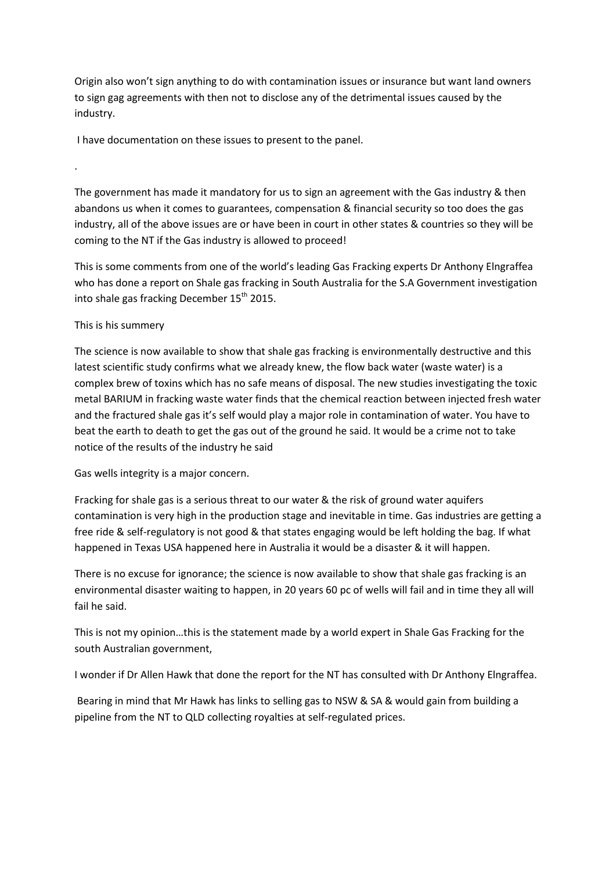Origin also won't sign anything to do with contamination issues or insurance but want land owners to sign gag agreements with then not to disclose any of the detrimental issues caused by the industry.

I have documentation on these issues to present to the panel.

The government has made it mandatory for us to sign an agreement with the Gas industry & then abandons us when it comes to guarantees, compensation & financial security so too does the gas industry, all of the above issues are or have been in court in other states & countries so they will be coming to the NT if the Gas industry is allowed to proceed!

This is some comments from one of the world's leading Gas Fracking experts Dr Anthony Elngraffea who has done a report on Shale gas fracking in South Australia for the S.A Government investigation into shale gas fracking December 15<sup>th</sup> 2015.

## This is his summery

.

The science is now available to show that shale gas fracking is environmentally destructive and this latest scientific study confirms what we already knew, the flow back water (waste water) is a complex brew of toxins which has no safe means of disposal. The new studies investigating the toxic metal BARIUM in fracking waste water finds that the chemical reaction between injected fresh water and the fractured shale gas it's self would play a major role in contamination of water. You have to beat the earth to death to get the gas out of the ground he said. It would be a crime not to take notice of the results of the industry he said

Gas wells integrity is a major concern.

Fracking for shale gas is a serious threat to our water & the risk of ground water aquifers contamination is very high in the production stage and inevitable in time. Gas industries are getting a free ride & self-regulatory is not good & that states engaging would be left holding the bag. If what happened in Texas USA happened here in Australia it would be a disaster & it will happen.

There is no excuse for ignorance; the science is now available to show that shale gas fracking is an environmental disaster waiting to happen, in 20 years 60 pc of wells will fail and in time they all will fail he said.

This is not my opinion…this is the statement made by a world expert in Shale Gas Fracking for the south Australian government,

I wonder if Dr Allen Hawk that done the report for the NT has consulted with Dr Anthony Elngraffea.

Bearing in mind that Mr Hawk has links to selling gas to NSW & SA & would gain from building a pipeline from the NT to QLD collecting royalties at self-regulated prices.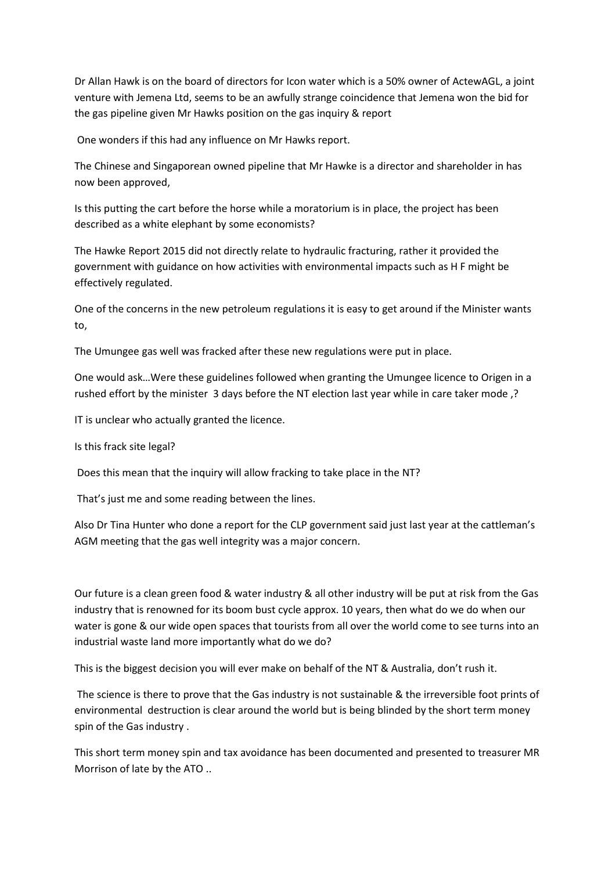Dr Allan Hawk is on the board of directors for Icon water which is a 50% owner of ActewAGL, a joint venture with Jemena Ltd, seems to be an awfully strange coincidence that Jemena won the bid for the gas pipeline given Mr Hawks position on the gas inquiry & report

One wonders if this had any influence on Mr Hawks report.

The Chinese and Singaporean owned pipeline that Mr Hawke is a director and shareholder in has now been approved,

Is this putting the cart before the horse while a moratorium is in place, the project has been described as a white elephant by some economists?

The Hawke Report 2015 did not directly relate to hydraulic fracturing, rather it provided the government with guidance on how activities with environmental impacts such as H F might be effectively regulated.

One of the concerns in the new petroleum regulations it is easy to get around if the Minister wants to,

The Umungee gas well was fracked after these new regulations were put in place.

One would ask…Were these guidelines followed when granting the Umungee licence to Origen in a rushed effort by the minister 3 days before the NT election last year while in care taker mode ,?

IT is unclear who actually granted the licence.

Is this frack site legal?

Does this mean that the inquiry will allow fracking to take place in the NT?

That's just me and some reading between the lines.

Also Dr Tina Hunter who done a report for the CLP government said just last year at the cattleman's AGM meeting that the gas well integrity was a major concern.

Our future is a clean green food & water industry & all other industry will be put at risk from the Gas industry that is renowned for its boom bust cycle approx. 10 years, then what do we do when our water is gone & our wide open spaces that tourists from all over the world come to see turns into an industrial waste land more importantly what do we do?

This is the biggest decision you will ever make on behalf of the NT & Australia, don't rush it.

The science is there to prove that the Gas industry is not sustainable & the irreversible foot prints of environmental destruction is clear around the world but is being blinded by the short term money spin of the Gas industry .

This short term money spin and tax avoidance has been documented and presented to treasurer MR Morrison of late by the ATO ..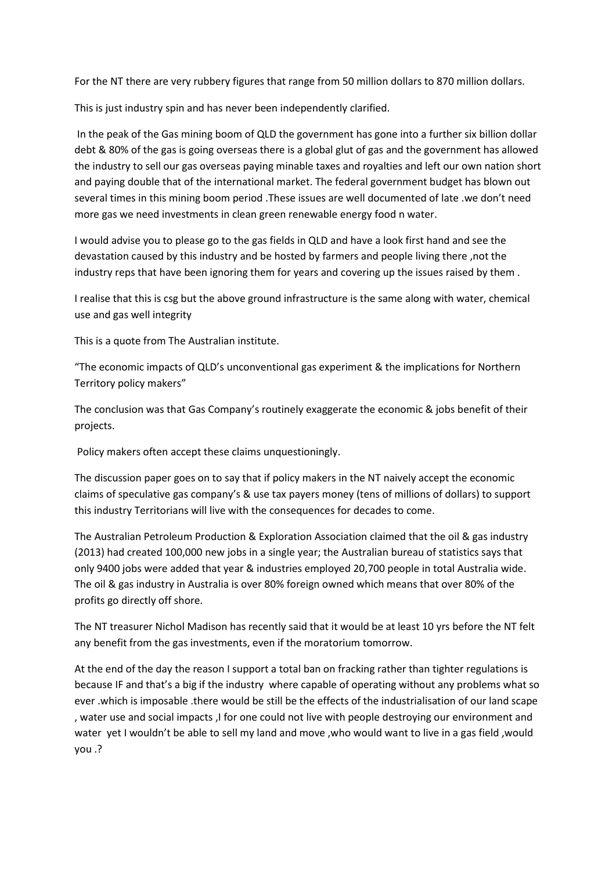For the NT there are very rubbery figures that range from 50 million dollars to 870 million dollars.

This is just industry spin and has never been independently clarified.

In the peak of the Gas mining boom of QLD the government has gone into a further six billion dollar debt & 80% of the gas is going overseas there is a global glut of gas and the government has allowed the industry to sell our gas overseas paying minable taxes and royalties and left our own nation short and paying double that of the international market. The federal government budget has blown out several times in this mining boom period .These issues are well documented of late .we don't need more gas we need investments in clean green renewable energy food n water.

I would advise you to please go to the gas fields in QLD and have a look first hand and see the devastation caused by this industry and be hosted by farmers and people living there ,not the industry reps that have been ignoring them for years and covering up the issues raised by them .

I realise that this is csg but the above ground infrastructure is the same along with water, chemical use and gas well integrity

This is a quote from The Australian institute.

"The economic impacts of QLD's unconventional gas experiment & the implications for Northern Territory policy makers"

The conclusion was that Gas Company's routinely exaggerate the economic & jobs benefit of their projects.

Policy makers often accept these claims unquestioningly.

The discussion paper goes on to say that if policy makers in the NT naively accept the economic claims of speculative gas company's & use tax payers money (tens of millions of dollars) to support this industry Territorians will live with the consequences for decades to come.

The Australian Petroleum Production & Exploration Association claimed that the oil & gas industry (2013) had created 100,000 new jobs in a single year; the Australian bureau of statistics says that only 9400 jobs were added that year & industries employed 20,700 people in total Australia wide. The oil & gas industry in Australia is over 80% foreign owned which means that over 80% of the profits go directly off shore.

The NT treasurer Nichol Madison has recently said that it would be at least 10 yrs before the NT felt any benefit from the gas investments, even if the moratorium tomorrow.

At the end of the day the reason I support a total ban on fracking rather than tighter regulations is because IF and that's a big if the industry where capable of operating without any problems what so ever .which is imposable .there would be still be the effects of the industrialisation of our land scape , water use and social impacts ,I for one could not live with people destroying our environment and water yet I wouldn't be able to sell my land and move ,who would want to live in a gas field ,would you .?